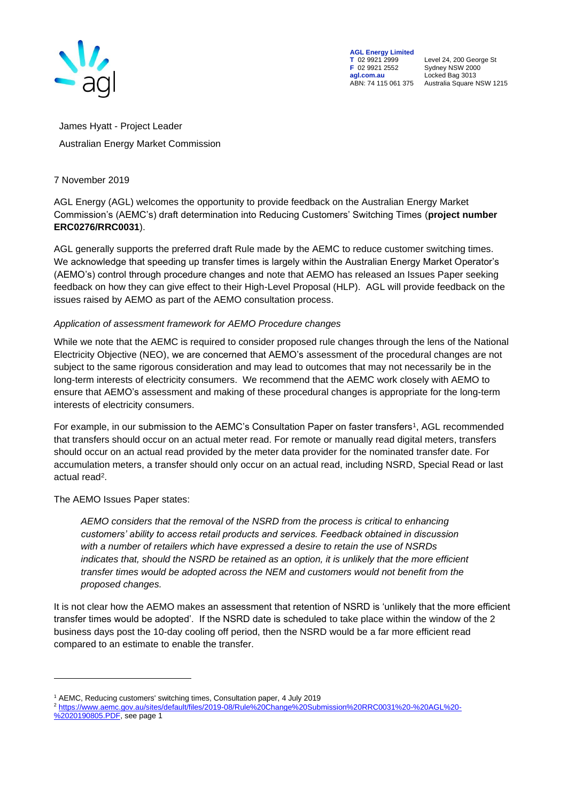

**AGL Energy Limited**<br> **T** 02 9921 2999<br> **F** 02 9921 2552 **F** 02 9921 2552 Sydney NSW 2000 **agl.com.au** Locked Bag 3013

**T** 02 9921 2999 Level 24, 200 George St ABN: 74 115 061 375 Australia Square NSW 1215

James Hyatt - Project Leader Australian Energy Market Commission

## 7 November 2019

AGL Energy (AGL) welcomes the opportunity to provide feedback on the Australian Energy Market Commission's (AEMC's) draft determination into Reducing Customers' Switching Times (**project number ERC0276/RRC0031**).

AGL generally supports the preferred draft Rule made by the AEMC to reduce customer switching times. We acknowledge that speeding up transfer times is largely within the Australian Energy Market Operator's (AEMO's) control through procedure changes and note that AEMO has released an Issues Paper seeking feedback on how they can give effect to their High-Level Proposal (HLP). AGL will provide feedback on the issues raised by AEMO as part of the AEMO consultation process.

## *Application of assessment framework for AEMO Procedure changes*

While we note that the AEMC is required to consider proposed rule changes through the lens of the National Electricity Objective (NEO), we are concerned that AEMO's assessment of the procedural changes are not subject to the same rigorous consideration and may lead to outcomes that may not necessarily be in the long-term interests of electricity consumers. We recommend that the AEMC work closely with AEMO to ensure that AEMO's assessment and making of these procedural changes is appropriate for the long-term interests of electricity consumers.

For example, in our submission to the AEMC's Consultation Paper on faster transfers<sup>1</sup>, AGL recommended that transfers should occur on an actual meter read. For remote or manually read digital meters, transfers should occur on an actual read provided by the meter data provider for the nominated transfer date. For accumulation meters, a transfer should only occur on an actual read, including NSRD, Special Read or last actual read<sup>2</sup>.

The AEMO Issues Paper states:

*AEMO considers that the removal of the NSRD from the process is critical to enhancing customers' ability to access retail products and services. Feedback obtained in discussion with a number of retailers which have expressed a desire to retain the use of NSRDs*  indicates that, should the NSRD be retained as an option, it is unlikely that the more efficient *transfer times would be adopted across the NEM and customers would not benefit from the proposed changes.*

It is not clear how the AEMO makes an assessment that retention of NSRD is 'unlikely that the more efficient transfer times would be adopted'. If the NSRD date is scheduled to take place within the window of the 2 business days post the 10-day cooling off period, then the NSRD would be a far more efficient read compared to an estimate to enable the transfer.

<sup>2</sup> [https://www.aemc.gov.au/sites/default/files/2019-08/Rule%20Change%20Submission%20RRC0031%20-%20AGL%20-](https://www.aemc.gov.au/sites/default/files/2019-08/Rule%20Change%20Submission%20RRC0031%20-%20AGL%20-%2020190805.PDF) [%2020190805.PDF,](https://www.aemc.gov.au/sites/default/files/2019-08/Rule%20Change%20Submission%20RRC0031%20-%20AGL%20-%2020190805.PDF) see page 1

<sup>&</sup>lt;sup>1</sup> AEMC, Reducing customers' switching times, Consultation paper, 4 July 2019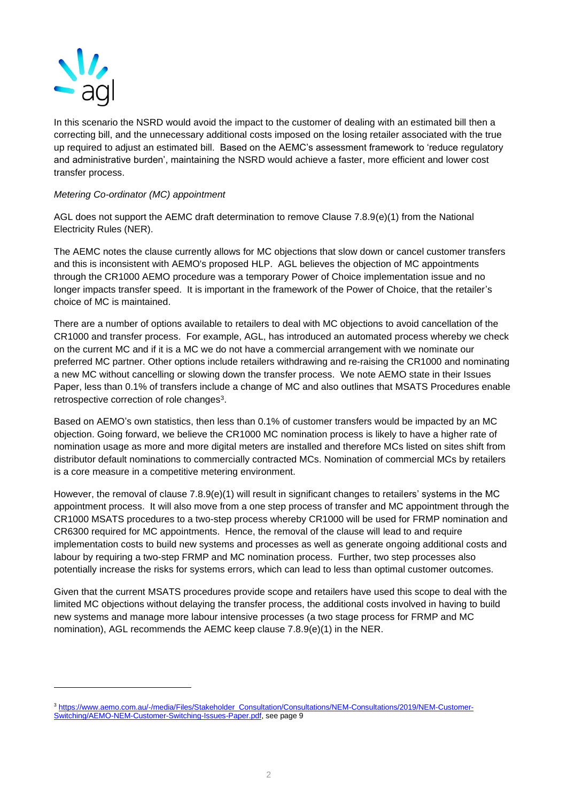

In this scenario the NSRD would avoid the impact to the customer of dealing with an estimated bill then a correcting bill, and the unnecessary additional costs imposed on the losing retailer associated with the true up required to adjust an estimated bill. Based on the AEMC's assessment framework to 'reduce regulatory and administrative burden', maintaining the NSRD would achieve a faster, more efficient and lower cost transfer process.

## *Metering Co-ordinator (MC) appointment*

AGL does not support the AEMC draft determination to remove Clause 7.8.9(e)(1) from the National Electricity Rules (NER).

The AEMC notes the clause currently allows for MC objections that slow down or cancel customer transfers and this is inconsistent with AEMO's proposed HLP. AGL believes the objection of MC appointments through the CR1000 AEMO procedure was a temporary Power of Choice implementation issue and no longer impacts transfer speed. It is important in the framework of the Power of Choice, that the retailer's choice of MC is maintained.

There are a number of options available to retailers to deal with MC objections to avoid cancellation of the CR1000 and transfer process. For example, AGL, has introduced an automated process whereby we check on the current MC and if it is a MC we do not have a commercial arrangement with we nominate our preferred MC partner. Other options include retailers withdrawing and re-raising the CR1000 and nominating a new MC without cancelling or slowing down the transfer process. We note AEMO state in their Issues Paper, less than 0.1% of transfers include a change of MC and also outlines that MSATS Procedures enable retrospective correction of role changes<sup>3</sup>.

Based on AEMO's own statistics, then less than 0.1% of customer transfers would be impacted by an MC objection. Going forward, we believe the CR1000 MC nomination process is likely to have a higher rate of nomination usage as more and more digital meters are installed and therefore MCs listed on sites shift from distributor default nominations to commercially contracted MCs. Nomination of commercial MCs by retailers is a core measure in a competitive metering environment.

However, the removal of clause 7.8.9(e)(1) will result in significant changes to retailers' systems in the MC appointment process. It will also move from a one step process of transfer and MC appointment through the CR1000 MSATS procedures to a two-step process whereby CR1000 will be used for FRMP nomination and CR6300 required for MC appointments. Hence, the removal of the clause will lead to and require implementation costs to build new systems and processes as well as generate ongoing additional costs and labour by requiring a two-step FRMP and MC nomination process. Further, two step processes also potentially increase the risks for systems errors, which can lead to less than optimal customer outcomes.

Given that the current MSATS procedures provide scope and retailers have used this scope to deal with the limited MC objections without delaying the transfer process, the additional costs involved in having to build new systems and manage more labour intensive processes (a two stage process for FRMP and MC nomination), AGL recommends the AEMC keep clause 7.8.9(e)(1) in the NER.

<sup>3</sup> [https://www.aemo.com.au/-/media/Files/Stakeholder\\_Consultation/Consultations/NEM-Consultations/2019/NEM-Customer-](https://www.aemo.com.au/-/media/Files/Stakeholder_Consultation/Consultations/NEM-Consultations/2019/NEM-Customer-Switching/AEMO-NEM-Customer-Switching-Issues-Paper.pdf)[Switching/AEMO-NEM-Customer-Switching-Issues-Paper.pdf,](https://www.aemo.com.au/-/media/Files/Stakeholder_Consultation/Consultations/NEM-Consultations/2019/NEM-Customer-Switching/AEMO-NEM-Customer-Switching-Issues-Paper.pdf) see page 9